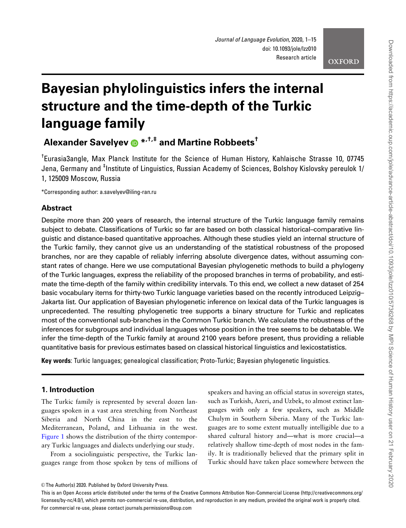# Bayesian phylolinguistics infers the internal structure and the time-depth of the Turkic language family

Alexander Savelyev  $\bullet$  \* $,^{\dagger,\dagger}$  and Martine Robbeets<sup>†</sup>

† Eurasia3angle, Max Planck Institute for the Science of Human History, Kahlaische Strasse 10, 07745 Jena, Germany and <sup>‡</sup>Institute of Linguistics, Russian Academy of Sciences, Bolshoy Kislovsky pereulok 1/ 1, 125009 Moscow, Russia

\*Corresponding author: a.savelyev@iling-ran.ru

# Abstract

Despite more than 200 years of research, the internal structure of the Turkic language family remains subject to debate. Classifications of Turkic so far are based on both classical historical–comparative linguistic and distance-based quantitative approaches. Although these studies yield an internal structure of the Turkic family, they cannot give us an understanding of the statistical robustness of the proposed branches, nor are they capable of reliably inferring absolute divergence dates, without assuming constant rates of change. Here we use computational Bayesian phylogenetic methods to build a phylogeny of the Turkic languages, express the reliability of the proposed branches in terms of probability, and estimate the time-depth of the family within credibility intervals. To this end, we collect a new dataset of 254 basic vocabulary items for thirty-two Turkic language varieties based on the recently introduced Leipzig– Jakarta list. Our application of Bayesian phylogenetic inference on lexical data of the Turkic languages is unprecedented. The resulting phylogenetic tree supports a binary structure for Turkic and replicates most of the conventional sub-branches in the Common Turkic branch. We calculate the robustness of the inferences for subgroups and individual languages whose position in the tree seems to be debatable. We infer the time-depth of the Turkic family at around 2100 years before present, thus providing a reliable quantitative basis for previous estimates based on classical historical linguistics and lexicostatistics.

Key words: Turkic languages; genealogical classification; Proto-Turkic; Bayesian phylogenetic linguistics.

# 1. Introduction

The Turkic family is represented by several dozen languages spoken in a vast area stretching from Northeast Siberia and North China in the east to the Mediterranean, Poland, and Lithuania in the west. [Figure 1](#page-1-0) shows the distribution of the thirty contemporary Turkic languages and dialects underlying our study.

From a sociolinguistic perspective, the Turkic languages range from those spoken by tens of millions of speakers and having an official status in sovereign states, such as Turkish, Azeri, and Uzbek, to almost extinct languages with only a few speakers, such as Middle Chulym in Southern Siberia. Many of the Turkic languages are to some extent mutually intelligible due to a shared cultural history and—what is more crucial—a relatively shallow time-depth of most nodes in the family. It is traditionally believed that the primary split in Turkic should have taken place somewhere between the

<sup>©</sup> The Author(s) 2020. Published by Oxford University Press.

This is an Open Access article distributed under the terms of the Creative Commons Attribution Non-Commercial License (http://creativecommons.org/ licenses/by-nc/4.0/), which permits non-commercial re-use, distribution, and reproduction in any medium, provided the original work is properly cited. For commercial re-use, please contact journals.permissions@oup.com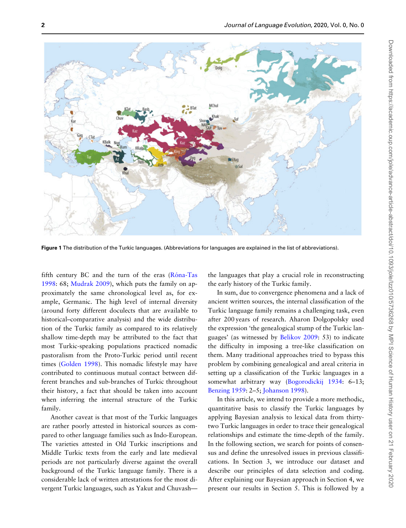<span id="page-1-0"></span>

Figure 1 The distribution of the Turkic languages. (Abbreviations for languages are explained in the list of abbreviations).

fifth century BC and the turn of the eras  $(Róna-Tas)$ [1998](#page-14-0): 68; [Mudrak 2009\)](#page-14-0), which puts the family on approximately the same chronological level as, for example, Germanic. The high level of internal diversity (around forty different doculects that are available to historical–comparative analysis) and the wide distribution of the Turkic family as compared to its relatively shallow time-depth may be attributed to the fact that most Turkic-speaking populations practiced nomadic pastoralism from the Proto-Turkic period until recent times [\(Golden 1998\)](#page-13-0). This nomadic lifestyle may have contributed to continuous mutual contact between different branches and sub-branches of Turkic throughout their history, a fact that should be taken into account when inferring the internal structure of the Turkic family.

Another caveat is that most of the Turkic languages are rather poorly attested in historical sources as compared to other language families such as Indo-European. The varieties attested in Old Turkic inscriptions and Middle Turkic texts from the early and late medieval periods are not particularly diverse against the overall background of the Turkic language family. There is a considerable lack of written attestations for the most divergent Turkic languages, such as Yakut and Chuvashthe languages that play a crucial role in reconstructing the early history of the Turkic family.

In sum, due to convergence phenomena and a lack of ancient written sources, the internal classification of the Turkic language family remains a challenging task, even after 200 years of research. Aharon Dolgopolsky used the expression 'the genealogical stump of the Turkic languages' (as witnessed by [Belikov 2009](#page-13-0): 53) to indicate the difficulty in imposing a tree-like classification on them. Many traditional approaches tried to bypass this problem by combining genealogical and areal criteria in setting up a classification of the Turkic languages in a somewhat arbitrary way ([Bogorodickij 1934:](#page-13-0) 6–13; [Benzing 1959](#page-13-0): 2–5; [Johanson 1998](#page-14-0)).

In this article, we intend to provide a more methodic, quantitative basis to classify the Turkic languages by applying Bayesian analysis to lexical data from thirtytwo Turkic languages in order to trace their genealogical relationships and estimate the time-depth of the family. In the following section, we search for points of consensus and define the unresolved issues in previous classifications. In Section 3, we introduce our dataset and describe our principles of data selection and coding. After explaining our Bayesian approach in Section 4, we present our results in Section 5. This is followed by a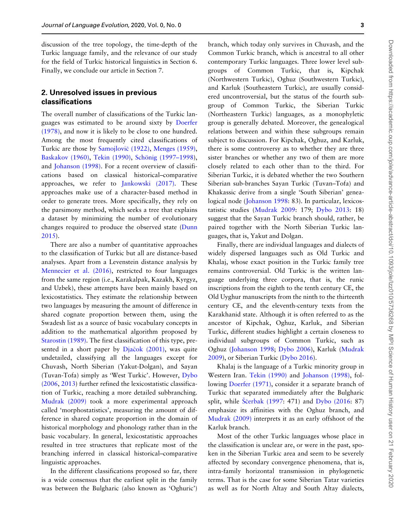discussion of the tree topology, the time-depth of the Turkic language family, and the relevance of our study for the field of Turkic historical linguistics in Section 6. Finally, we conclude our article in Section 7.

## 2. Unresolved issues in previous classifications

The overall number of classifications of the Turkic languages was estimated to be around sixty by [Doerfer](#page-13-0) [\(1978\)](#page-13-0), and now it is likely to be close to one hundred. Among the most frequently cited classifications of Turkic are those by [Samojlovi](#page-14-0)č (1922), [Menges \(1959\)](#page-14-0), [Baskakov \(1960\),](#page-13-0) [Tekin \(1990\),](#page-14-0) Schönig (1997–1998), and [Johanson \(1998\)](#page-14-0). For a recent overview of classifications based on classical historical–comparative approaches, we refer to [Jankowski \(2017\)](#page-14-0). These approaches make use of a character-based method in order to generate trees. More specifically, they rely on the parsimony method, which seeks a tree that explains a dataset by minimizing the number of evolutionary changes required to produce the observed state ([Dunn](#page-13-0) [2015](#page-13-0)).

There are also a number of quantitative approaches to the classification of Turkic but all are distance-based analyses. Apart from a Levenstein distance analysis by [Mennecier et al. \(2016\)](#page-14-0), restricted to four languages from the same region (i.e., Karakalpak, Kazakh, Kyrgyz, and Uzbek), these attempts have been mainly based on lexicostatistics. They estimate the relationship between two languages by measuring the amount of difference in shared cognate proportion between them, using the Swadesh list as a source of basic vocabulary concepts in addition to the mathematical algorithm proposed by [Starostin \(1989\).](#page-14-0) The first classification of this type, pre-sented in a short paper by [Dja](#page-13-0)čok (2001), was quite undetailed, classifying all the languages except for Chuvash, North Siberian (Yakut-Dolgan), and Sayan (Tuvan-Tofa) simply as 'West Turkic'. However, [Dybo](#page-13-0) [\(2006](#page-13-0), [2013\)](#page-13-0) further refined the lexicostatistic classification of Turkic, reaching a more detailed subbranching. [Mudrak \(2009\)](#page-14-0) took a more experimental approach called 'morphostatistics', measuring the amount of difference in shared cognate proportion in the domain of historical morphology and phonology rather than in the basic vocabulary. In general, lexicostatistic approaches resulted in tree structures that replicate most of the branching inferred in classical historical–comparative linguistic approaches.

In the different classifications proposed so far, there is a wide consensus that the earliest split in the family was between the Bulgharic (also known as 'Oghuric')

branch, which today only survives in Chuvash, and the Common Turkic branch, which is ancestral to all other contemporary Turkic languages. Three lower level subgroups of Common Turkic, that is, Kipchak (Northwestern Turkic), Oghuz (Southwestern Turkic), and Karluk (Southeastern Turkic), are usually considered uncontroversial, but the status of the fourth subgroup of Common Turkic, the Siberian Turkic (Northeastern Turkic) languages, as a monophyletic group is generally debated. Moreover, the genealogical relations between and within these subgroups remain subject to discussion. For Kipchak, Oghuz, and Karluk, there is some controversy as to whether they are three sister branches or whether any two of them are more closely related to each other than to the third. For Siberian Turkic, it is debated whether the two Southern Siberian sub-branches Sayan Turkic (Tuvan–Tofa) and Khakassic derive from a single 'South Siberian' genealogical node ([Johanson 1998](#page-14-0): 83). In particular, lexicostatistic studies [\(Mudrak 2009:](#page-14-0) 179; [Dybo 2013](#page-13-0): 18) suggest that the Sayan Turkic branch should, rather, be paired together with the North Siberian Turkic languages, that is, Yakut and Dolgan.

Finally, there are individual languages and dialects of widely dispersed languages such as Old Turkic and Khalaj, whose exact position in the Turkic family tree remains controversial. Old Turkic is the written language underlying three corpora, that is, the runic inscriptions from the eighth to the tenth century CE, the Old Uyghur manuscripts from the ninth to the thirteenth century CE, and the eleventh-century texts from the Karakhanid state. Although it is often referred to as the ancestor of Kipchak, Oghuz, Karluk, and Siberian Turkic, different studies highlight a certain closeness to individual subgroups of Common Turkic, such as Oghuz [\(Johanson 1998;](#page-14-0) [Dybo 2006](#page-13-0)), Karluk ([Mudrak](#page-14-0) [2009](#page-14-0)), or Siberian Turkic [\(Dybo 2016](#page-13-0)).

Khalaj is the language of a Turkic minority group in Western Iran. [Tekin \(1990\)](#page-14-0) and [Johanson \(1998\),](#page-14-0) following [Doerfer \(1971\)](#page-13-0), consider it a separate branch of Turkic that separated immediately after the Bulgharic split, while Šč[erbak \(1997](#page-14-0): 471) and [Dybo \(2016:](#page-13-0) 87) emphasize its affinities with the Oghuz branch, and [Mudrak \(2009\)](#page-14-0) interprets it as an early offshoot of the Karluk branch.

Most of the other Turkic languages whose place in the classification is unclear are, or were in the past, spoken in the Siberian Turkic area and seem to be severely affected by secondary convergence phenomena, that is, intra-family horizontal transmission in phylogenetic terms. That is the case for some Siberian Tatar varieties as well as for North Altay and South Altay dialects,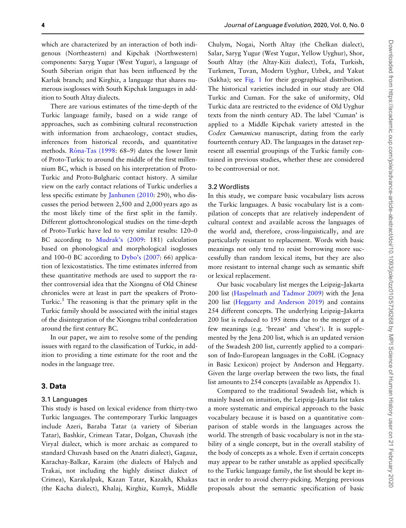which are characterized by an interaction of both indigenous (Northeastern) and Kipchak (Northwestern) components: Saryg Yugur (West Yugur), a language of South Siberian origin that has been influenced by the Karluk branch; and Kirghiz, a language that shares numerous isoglosses with South Kipchak languages in addition to South Altay dialects.

There are various estimates of the time-depth of the Turkic language family, based on a wide range of approaches, such as combining cultural reconstruction with information from archaeology, contact studies, inferences from historical records, and quantitative methods. Róna-Tas (1998: 68–9) dates the lower limit of Proto-Turkic to around the middle of the first millennium BC, which is based on his interpretation of Proto-Turkic and Proto-Bulgharic contact history. A similar view on the early contact relations of Turkic underlies a less specific estimate by [Janhunen \(2010](#page-14-0): 290), who discusses the period between 2,500 and 2,000 years ago as the most likely time of the first split in the family. Different glottochronological studies on the time-depth of Proto-Turkic have led to very similar results: 120–0 BC according to [Mudrak's \(2009:](#page-14-0) 181) calculation based on phonological and morphological isoglosses and 100–0 BC according to [Dybo's \(2007:](#page-13-0) 66) application of lexicostatistics. The time estimates inferred from these quantitative methods are used to support the rather controversial idea that the Xiongnu of Old Chinese chronicles were at least in part the speakers of Proto-Turkic.<sup>1</sup> The reasoning is that the primary split in the Turkic family should be associated with the initial stages of the disintegration of the Xiongnu tribal confederation around the first century BC.

In our paper, we aim to resolve some of the pending issues with regard to the classification of Turkic, in addition to providing a time estimate for the root and the nodes in the language tree.

#### 3. Data

#### 3.1 Languages

This study is based on lexical evidence from thirty-two Turkic languages. The contemporary Turkic languages include Azeri, Baraba Tatar (a variety of Siberian Tatar), Bashkir, Crimean Tatar, Dolgan, Chuvash (the Viryal dialect, which is more archaic as compared to standard Chuvash based on the Anatri dialect), Gagauz, Karachay-Balkar, Karaim (the dialects of Halych and Trakai, not including the highly distinct dialect of Crimea), Karakalpak, Kazan Tatar, Kazakh, Khakas (the Kacha dialect), Khalaj, Kirghiz, Kumyk, Middle

Chulym, Nogai, North Altay (the Chelkan dialect), Salar, Saryg Yugur (West Yugur, Yellow Uyghur), Shor, South Altay (the Altay-Kiži dialect), Tofa, Turkish, Turkmen, Tuvan, Modern Uyghur, Uzbek, and Yakut (Sakha); see [Fig. 1](#page-1-0) for their geographical distribution. The historical varieties included in our study are Old Turkic and Cuman. For the sake of uniformity, Old Turkic data are restricted to the evidence of Old Uyghur texts from the ninth century AD. The label 'Cuman' is applied to a Middle Kipchak variety attested in the Codex Cumanicus manuscript, dating from the early fourteenth century AD. The languages in the dataset represent all essential groupings of the Turkic family contained in previous studies, whether these are considered to be controversial or not.

#### 3.2 Wordlists

In this study, we compare basic vocabulary lists across the Turkic languages. A basic vocabulary list is a compilation of concepts that are relatively independent of cultural context and available across the languages of the world and, therefore, cross-linguistically, and are particularly resistant to replacement. Words with basic meanings not only tend to resist borrowing more successfully than random lexical items, but they are also more resistant to internal change such as semantic shift or lexical replacement.

Our basic vocabulary list merges the Leipzig–Jakarta 200 list ([Haspelmath and Tadmor 2009\)](#page-13-0) with the Jena 200 list ([Heggarty and Anderson 2019](#page-13-0)) and contains 254 different concepts. The underlying Leipzig–Jakarta 200 list is reduced to 195 items due to the merger of a few meanings (e.g. 'breast' and 'chest'). It is supplemented by the Jena 200 list, which is an updated version of the Swadesh 200 list, currently applied to a comparison of Indo-European languages in the CoBL (Cognacy in Basic Lexicon) project by Anderson and Heggarty. Given the large overlap between the two lists, the final list amounts to 254 concepts (available as Appendix 1).

Compared to the traditional Swadesh list, which is mainly based on intuition, the Leipzig–Jakarta list takes a more systematic and empirical approach to the basic vocabulary because it is based on a quantitative comparison of stable words in the languages across the world. The strength of basic vocabulary is not in the stability of a single concept, but in the overall stability of the body of concepts as a whole. Even if certain concepts may appear to be rather unstable as applied specifically to the Turkic language family, the list should be kept intact in order to avoid cherry-picking. Merging previous proposals about the semantic specification of basic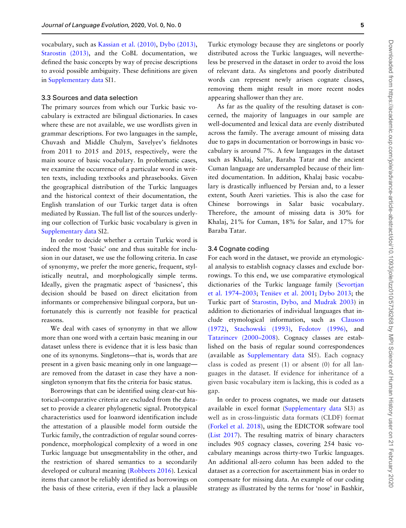vocabulary, such as [Kassian et al. \(2010\),](#page-14-0) [Dybo \(2013\)](#page-13-0), [Starostin \(2013\),](#page-14-0) and the CoBL documentation, we defined the basic concepts by way of precise descriptions to avoid possible ambiguity. These definitions are given in [Supplementary data](https://academic.oup.com/jole/article-lookup/doi/10.1093/jole/lzz010#supplementary-data) SI1.

#### 3.3 Sources and data selection

The primary sources from which our Turkic basic vocabulary is extracted are bilingual dictionaries. In cases where these are not available, we use wordlists given in grammar descriptions. For two languages in the sample, Chuvash and Middle Chulym, Savelyev's fieldnotes from 2011 to 2015 and 2015, respectively, were the main source of basic vocabulary. In problematic cases, we examine the occurrence of a particular word in written texts, including textbooks and phrasebooks. Given the geographical distribution of the Turkic languages and the historical context of their documentation, the English translation of our Turkic target data is often mediated by Russian. The full list of the sources underlying our collection of Turkic basic vocabulary is given in [Supplementary data](https://academic.oup.com/jole/article-lookup/doi/10.1093/jole/lzz010#supplementary-data) SI2.

In order to decide whether a certain Turkic word is indeed the most 'basic' one and thus suitable for inclusion in our dataset, we use the following criteria. In case of synonymy, we prefer the more generic, frequent, stylistically neutral, and morphologically simple terms. Ideally, given the pragmatic aspect of 'basicness', this decision should be based on direct elicitation from informants or comprehensive bilingual corpora, but unfortunately this is currently not feasible for practical reasons.

We deal with cases of synonymy in that we allow more than one word with a certain basic meaning in our dataset unless there is evidence that it is less basic than one of its synonyms. Singletons—that is, words that are present in a given basic meaning only in one language are removed from the dataset in case they have a nonsingleton synonym that fits the criteria for basic status.

Borrowings that can be identified using clear-cut historical–comparative criteria are excluded from the dataset to provide a clearer phylogenetic signal. Prototypical characteristics used for loanword identification include the attestation of a plausible model form outside the Turkic family, the contradiction of regular sound correspondence, morphological complexity of a word in one Turkic language but unsegmentability in the other, and the restriction of shared semantics to a secondarily developed or cultural meaning [\(Robbeets 2016](#page-14-0)). Lexical items that cannot be reliably identified as borrowings on the basis of these criteria, even if they lack a plausible

Turkic etymology because they are singletons or poorly distributed across the Turkic languages, will nevertheless be preserved in the dataset in order to avoid the loss of relevant data. As singletons and poorly distributed words can represent newly arisen cognate classes, removing them might result in more recent nodes appearing shallower than they are.

As far as the quality of the resulting dataset is concerned, the majority of languages in our sample are well-documented and lexical data are evenly distributed across the family. The average amount of missing data due to gaps in documentation or borrowings in basic vocabulary is around 7%. A few languages in the dataset such as Khalaj, Salar, Baraba Tatar and the ancient Cuman language are undersampled because of their limited documentation. In addition, Khalaj basic vocabulary is drastically influenced by Persian and, to a lesser extent, South Azeri varieties. This is also the case for Chinese borrowings in Salar basic vocabulary. Therefore, the amount of missing data is 30% for Khalaj, 21% for Cuman, 18% for Salar, and 17% for Baraba Tatar.

#### 3.4 Cognate coding

For each word in the dataset, we provide an etymological analysis to establish cognacy classes and exclude borrowings. To this end, we use comparative etymological dictionaries of the Turkic language family [\(Sevortjan](#page-14-0) [et al. 1974–2003](#page-14-0); [Teni](#page-14-0)š[ev et al. 2001;](#page-14-0) [Dybo 2013;](#page-13-0) the Turkic part of [Starostin, Dybo, and Mudrak 2003](#page-14-0)) in addition to dictionaries of individual languages that include etymological information, such as [Clauson](#page-13-0) [\(1972\)](#page-13-0), [Stachowski \(1993\),](#page-14-0) [Fedotov \(1996\)](#page-13-0), and [Tatarincev \(2000–2008](#page-14-0)). Cognacy classes are established on the basis of regular sound correspondences (available as [Supplementary data](https://academic.oup.com/jole/article-lookup/doi/10.1093/jole/lzz010#supplementary-data) SI5). Each cognacy class is coded as present (1) or absent (0) for all languages in the dataset. If evidence for inheritance of a given basic vocabulary item is lacking, this is coded as a gap.

In order to process cognates, we made our datasets available in excel format [\(Supplementary data](https://academic.oup.com/jole/article-lookup/doi/10.1093/jole/lzz010#supplementary-data) SI3) as well as in cross-linguistic data formats (CLDF) format [\(Forkel et al. 2018](#page-13-0)), using the EDICTOR software tool [\(List 2017\)](#page-14-0). The resulting matrix of binary characters includes 905 cognacy classes, covering 254 basic vocabulary meanings across thirty-two Turkic languages. An additional all-zero column has been added to the dataset as a correction for ascertainment bias in order to compensate for missing data. An example of our coding strategy as illustrated by the terms for 'nose' in Bashkir,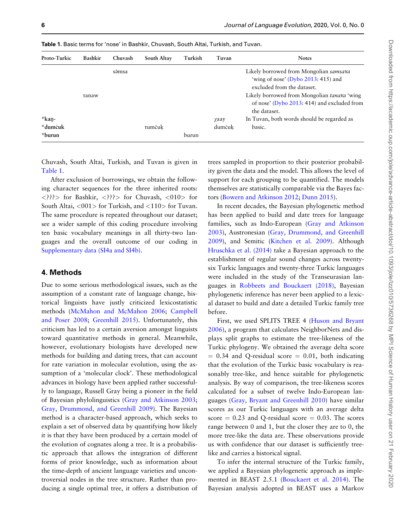| Proto-Turkic | Bashkir | Chuvash | South Altay | Turkish | Tuvan  | <b>Notes</b>                                                                                                                                                                                                                |
|--------------|---------|---------|-------------|---------|--------|-----------------------------------------------------------------------------------------------------------------------------------------------------------------------------------------------------------------------------|
|              | tanaw   | sômsa   |             |         |        | Likely borrowed from Mongolian samsaya<br>'wing of nose' (Dybo 2013: 415) and<br>excluded from the dataset.<br>Likely borrowed from Mongolian tanaxa 'wing<br>of nose' (Dybo $2013:414$ ) and excluded from<br>the dataset. |
| *kan-        |         |         |             |         | yaay   | In Tuvan, both words should be regarded as                                                                                                                                                                                  |
| * dumčuk     |         |         | tumčuk      |         | dumčuk | basic.                                                                                                                                                                                                                      |
| *burun       |         |         |             | burun   |        |                                                                                                                                                                                                                             |

Table 1. Basic terms for 'nose' in Bashkir, Chuvash, South Altai, Turkish, and Tuvan.

Chuvash, South Altai, Turkish, and Tuvan is given in Table 1.

After exclusion of borrowings, we obtain the following character sequences for the three inherited roots: <???> for Bashkir, <???> for Chuvash, <010> for South Altai, <001> for Turkish, and <110> for Tuvan. The same procedure is repeated throughout our dataset; see a wider sample of this coding procedure involving ten basic vocabulary meanings in all thirty-two languages and the overall outcome of our coding in [Supplementary data \(SI4a and SI4b\).](https://academic.oup.com/jole/article-lookup/doi/10.1093/jole/lzz010#supplementary-data)

#### 4. Methods

Due to some serious methodological issues, such as the assumption of a constant rate of language change, historical linguists have justly criticized lexicostatistic methods [\(McMahon and McMahon 2006](#page-14-0); [Campbell](#page-13-0) [and Poser 2008;](#page-13-0) [Greenhill 2015\)](#page-13-0). Unfortunately, this criticism has led to a certain aversion amongst linguists toward quantitative methods in general. Meanwhile, however, evolutionary biologists have developed new methods for building and dating trees, that can account for rate variation in molecular evolution, using the assumption of a 'molecular clock'. These methodological advances in biology have been applied rather successfully to language, Russell Gray being a pioneer in the field of Bayesian phylolinguistics [\(Gray and Atkinson 2003](#page-13-0); [Gray, Drummond, and Greenhill 2009\)](#page-13-0). The Bayesian method is a character-based approach, which seeks to explain a set of observed data by quantifying how likely it is that they have been produced by a certain model of the evolution of cognates along a tree. It is a probabilistic approach that allows the integration of different forms of prior knowledge, such as information about the time-depth of ancient language varieties and uncontroversial nodes in the tree structure. Rather than producing a single optimal tree, it offers a distribution of

trees sampled in proportion to their posterior probability given the data and the model. This allows the level of support for each grouping to be quantified. The models themselves are statistically comparable via the Bayes factors ([Bowern and Atkinson 2012](#page-13-0); [Dunn 2015](#page-13-0)).

In recent decades, the Bayesian phylogenetic method has been applied to build and date trees for language families, such as Indo-European ([Gray and Atkinson](#page-13-0) [2003](#page-13-0)), Austronesian [\(Gray, Drummond, and Greenhill](#page-13-0) [2009](#page-13-0)), and Semitic [\(Kitchen et al. 2009\)](#page-14-0). Although [Hruschka et al. \(2014\)](#page-13-0) take a Bayesian approach to the establishment of regular sound changes across twentysix Turkic languages and twenty-three Turkic languages were included in the study of the Transeurasian languages in [Robbeets and Bouckaert \(2018\)](#page-14-0), Bayesian phylogenetic inference has never been applied to a lexical dataset to build and date a detailed Turkic family tree before.

First, we used SPLITS TREE 4 ([Huson and Bryant](#page-13-0) [2006](#page-13-0)), a program that calculates NeighborNets and displays split graphs to estimate the tree-likeness of the Turkic phylogeny. We obtained the average delta score  $= 0.34$  and Q-residual score  $= 0.01$ , both indicating that the evolution of the Turkic basic vocabulary is reasonably tree-like, and hence suitable for phylogenetic analysis. By way of comparison, the tree-likeness scores calculated for a subset of twelve Indo-European languages [\(Gray, Bryant and Greenhill 2010](#page-13-0)) have similar scores as our Turkic languages with an average delta score  $= 0.23$  and Q-residual score  $= 0.03$ . The scores range between 0 and 1, but the closer they are to 0, the more tree-like the data are. These observations provide us with confidence that our dataset is sufficiently treelike and carries a historical signal.

To infer the internal structure of the Turkic family, we applied a Bayesian phylogenetic approach as implemented in BEAST 2.5.1 [\(Bouckaert et al. 2014](#page-13-0)). The Bayesian analysis adopted in BEAST uses a Markov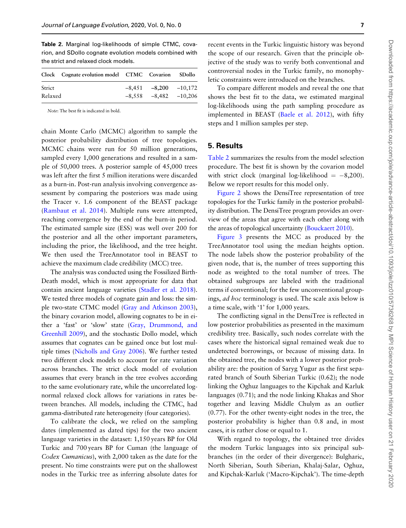Table 2. Marginal log-likelihoods of simple CTMC, covarion, and SDollo cognate evolution models combined with the strict and relaxed clock models.

|         | Clock Cognate evolution model CTMC Covarion SDollo |                             |  |
|---------|----------------------------------------------------|-----------------------------|--|
| Strict  |                                                    | $-8,451$ $-8,200$ $-10,172$ |  |
| Relaxed |                                                    | $-8,558$ $-8,482$ $-10,206$ |  |

Note: The best fit is indicated in bold.

chain Monte Carlo (MCMC) algorithm to sample the posterior probability distribution of tree topologies. MCMC chains were run for 50 million generations, sampled every 1,000 generations and resulted in a sample of 50,000 trees. A posterior sample of 45,000 trees was left after the first 5 million iterations were discarded as a burn-in. Post-run analysis involving convergence assessment by comparing the posteriors was made using the Tracer v. 1.6 component of the BEAST package [\(Rambaut et al. 2014\)](#page-14-0). Multiple runs were attempted, reaching convergence by the end of the burn-in period. The estimated sample size (ESS) was well over 200 for the posterior and all the other important parameters, including the prior, the likelihood, and the tree height. We then used the TreeAnnotator tool in BEAST to achieve the maximum clade credibility (MCC) tree.

The analysis was conducted using the Fossilized Birth-Death model, which is most appropriate for data that contain ancient language varieties [\(Stadler et al. 2018](#page-14-0)). We tested three models of cognate gain and loss: the simple two-state CTMC model ([Gray and Atkinson 2003](#page-13-0)), the binary covarion model, allowing cognates to be in either a 'fast' or 'slow' state [\(Gray, Drummond, and](#page-13-0) [Greenhill 2009\)](#page-13-0), and the stochastic Dollo model, which assumes that cognates can be gained once but lost multiple times [\(Nicholls and Gray 2006](#page-14-0)). We further tested two different clock models to account for rate variation across branches. The strict clock model of evolution assumes that every branch in the tree evolves according to the same evolutionary rate, while the uncorrelated lognormal relaxed clock allows for variations in rates between branches. All models, including the CTMC, had gamma-distributed rate heterogeneity (four categories).

To calibrate the clock, we relied on the sampling dates (implemented as dated tips) for the two ancient language varieties in the dataset: 1,150 years BP for Old Turkic and 700 years BP for Cuman (the language of Codex Cumanicus), with 2,000 taken as the date for the present. No time constraints were put on the shallowest nodes in the Turkic tree as inferring absolute dates for

recent events in the Turkic linguistic history was beyond the scope of our research. Given that the principle objective of the study was to verify both conventional and controversial nodes in the Turkic family, no monophyletic constraints were introduced on the branches.

To compare different models and reveal the one that shows the best fit to the data, we estimated marginal log-likelihoods using the path sampling procedure as implemented in BEAST [\(Baele et al. 2012\)](#page-12-0), with fifty steps and 1 million samples per step.

#### 5. Results

Table 2 summarizes the results from the model selection procedure. The best fit is shown by the covarion model with strict clock (marginal log-likelihood  $=$   $-8,200$ ). Below we report results for this model only.

[Figure 2](#page-7-0) shows the DensiTree representation of tree topologies for the Turkic family in the posterior probability distribution. The DensiTree program provides an overview of the areas that agree with each other along with the areas of topological uncertainty [\(Bouckaert 2010\)](#page-13-0).

[Figure 3](#page-7-0) presents the MCC as produced by the TreeAnnotator tool using the median heights option. The node labels show the posterior probability of the given node, that is, the number of trees supporting this node as weighted to the total number of trees. The obtained subgroups are labeled with the traditional terms if conventional; for the few unconventional groupings, ad hoc terminology is used. The scale axis below is a time scale, with '1' for 1,000 years.

The conflicting signal in the DensiTree is reflected in low posterior probabilities as presented in the maximum credibility tree. Basically, such nodes correlate with the cases where the historical signal remained weak due to undetected borrowings, or because of missing data. In the obtained tree, the nodes with a lower posterior probability are: the position of Saryg Yugur as the first separated branch of South Siberian Turkic (0.62); the node linking the Oghuz languages to the Kipchak and Karluk languages (0.71); and the node linking Khakas and Shor together and leaving Middle Chulym as an outlier (0.77). For the other twenty-eight nodes in the tree, the posterior probability is higher than 0.8 and, in most cases, it is rather close or equal to 1.

With regard to topology, the obtained tree divides the modern Turkic languages into six principal subbranches (in the order of their divergence): Bulgharic, North Siberian, South Siberian, Khalaj-Salar, Oghuz, and Kipchak-Karluk ('Macro-Kipchak'). The time-depth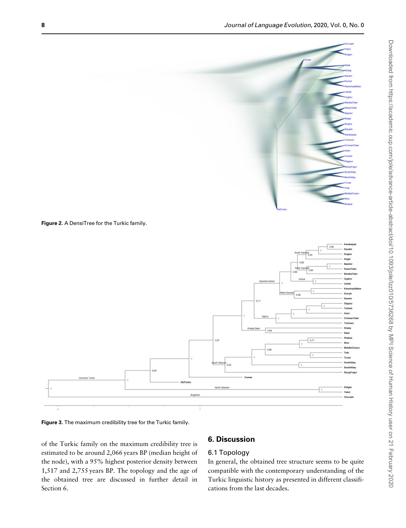<span id="page-7-0"></span>

Figure 2. A DensiTree for the Turkic family.



Figure 3. The maximum credibility tree for the Turkic family.

of the Turkic family on the maximum credibility tree is estimated to be around 2,066 years BP (median height of the node), with a 95% highest posterior density between 1,517 and 2,755 years BP. The topology and the age of the obtained tree are discussed in further detail in Section 6.

# 6. Discussion

#### 6.1 Topology

In general, the obtained tree structure seems to be quite compatible with the contemporary understanding of the Turkic linguistic history as presented in different classifications from the last decades.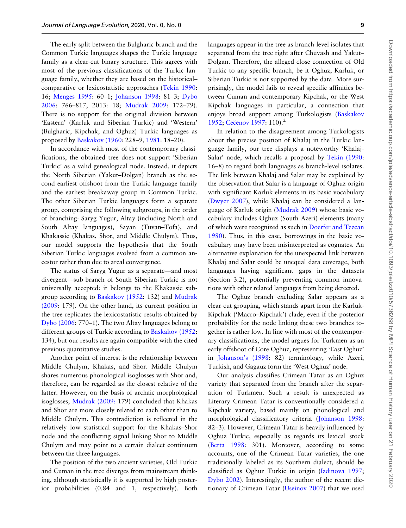The early split between the Bulgharic branch and the Common Turkic languages shapes the Turkic language family as a clear-cut binary structure. This agrees with most of the previous classifications of the Turkic language family, whether they are based on the historical– comparative or lexicostatistic approaches ([Tekin 1990](#page-14-0): 16; [Menges 1995](#page-14-0): 60–1; [Johanson 1998](#page-14-0): 81–3; [Dybo](#page-13-0) [2006](#page-13-0): 766–817, 2013: 18; [Mudrak 2009:](#page-14-0) 172–79). There is no support for the original division between 'Eastern' (Karluk and Siberian Turkic) and 'Western' (Bulgharic, Kipchak, and Oghuz) Turkic languages as proposed by [Baskakov \(1960:](#page-13-0) 228–9, [1981](#page-13-0): 18–20).

In accordance with most of the contemporary classifications, the obtained tree does not support 'Siberian Turkic' as a valid genealogical node. Instead, it depicts the North Siberian (Yakut–Dolgan) branch as the second earliest offshoot from the Turkic language family and the earliest breakaway group in Common Turkic. The other Siberian Turkic languages form a separate group, comprising the following subgroups, in the order of branching: Saryg Yugur, Altay (including North and South Altay languages), Sayan (Tuvan–Tofa), and Khakassic (Khakas, Shor, and Middle Chulym). Thus, our model supports the hypothesis that the South Siberian Turkic languages evolved from a common ancestor rather than due to areal convergence.

The status of Saryg Yugur as a separate—and most divergent—sub-branch of South Siberian Turkic is not universally accepted: it belongs to the Khakassic subgroup according to [Baskakov \(1952:](#page-12-0) 132) and [Mudrak](#page-14-0) [\(2009](#page-14-0): 179). On the other hand, its current position in the tree replicates the lexicostatistic results obtained by [Dybo \(2006:](#page-13-0) 770–1). The two Altay languages belong to different groups of Turkic according to [Baskakov \(1952](#page-12-0): 134), but our results are again compatible with the cited previous quantitative studies.

Another point of interest is the relationship between Middle Chulym, Khakas, and Shor. Middle Chulym shares numerous phonological isoglosses with Shor and, therefore, can be regarded as the closest relative of the latter. However, on the basis of archaic morphological isoglosses, [Mudrak \(2009:](#page-14-0) 179) concluded that Khakas and Shor are more closely related to each other than to Middle Chulym. This contradiction is reflected in the relatively low statistical support for the Khakas–Shor node and the conflicting signal linking Shor to Middle Chulym and may point to a certain dialect continuum between the three languages.

The position of the two ancient varieties, Old Turkic and Cuman in the tree diverges from mainstream thinking, although statistically it is supported by high posterior probabilities (0.84 and 1, respectively). Both

languages appear in the tree as branch-level isolates that separated from the tree right after Chuvash and Yakut– Dolgan. Therefore, the alleged close connection of Old Turkic to any specific branch, be it Oghuz, Karluk, or Siberian Turkic is not supported by the data. More surprisingly, the model fails to reveal specific affinities between Cuman and contemporary Kipchak, or the West Kipchak languages in particular, a connection that enjoys broad support among Turkologists [\(Baskakov](#page-12-0) [1952](#page-12-0); Čeč[enov 1997:](#page-13-0) 110).<sup>2</sup>

In relation to the disagreement among Turkologists about the precise position of Khalaj in the Turkic language family, our tree displays a noteworthy 'Khalaj-Salar' node, which recalls a proposal by [Tekin \(1990](#page-14-0): 16–8) to regard both languages as branch-level isolates. The link between Khalaj and Salar may be explained by the observation that Salar is a language of Oghuz origin with significant Karluk elements in its basic vocabulary [\(Dwyer 2007\)](#page-13-0), while Khalaj can be considered a language of Karluk origin [\(Mudrak 2009](#page-14-0)) whose basic vocabulary includes Oghuz (South Azeri) elements (many of which were recognized as such in [Doerfer and Tezcan](#page-13-0) [1980](#page-13-0)). Thus, in this case, borrowings in the basic vocabulary may have been misinterpreted as cognates. An alternative explanation for the unexpected link between Khalaj and Salar could be unequal data coverage, both languages having significant gaps in the datasets (Section 3.2), potentially preventing common innovations with other related languages from being detected.

The Oghuz branch excluding Salar appears as a clear-cut grouping, which stands apart from the Karluk-Kipchak ('Macro–Kipchak') clade, even if the posterior probability for the node linking these two branches together is rather low. In line with most of the contemporary classifications, the model argues for Turkmen as an early offshoot of Core Oghuz, representing 'East Oghuz' in [Johanson's \(1998:](#page-14-0) 82) terminology, while Azeri, Turkish, and Gagauz form the 'West Oghuz' node.

Our analysis classifies Crimean Tatar as an Oghuz variety that separated from the branch after the separation of Turkmen. Such a result is unexpected as Literary Crimean Tatar is conventionally considered a Kipchak variety, based mainly on phonological and morphological classificatory criteria [\(Johanson 1998](#page-14-0): 82–3). However, Crimean Tatar is heavily influenced by Oghuz Turkic, especially as regards its lexical stock [\(Berta 1998:](#page-13-0) 301). Moreover, according to some accounts, one of the Crimean Tatar varieties, the one traditionally labeled as its Southern dialect, should be classified as Oghuz Turkic in origin [\(Izdinova 1997](#page-14-0); [Dybo 2002\)](#page-13-0). Interestingly, the author of the recent dictionary of Crimean Tatar ([Useinov 2007\)](#page-14-0) that we used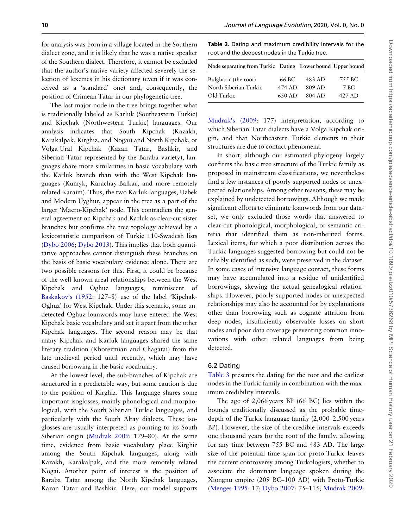for analysis was born in a village located in the Southern dialect zone, and it is likely that he was a native speaker of the Southern dialect. Therefore, it cannot be excluded that the author's native variety affected severely the selection of lexemes in his dictionary (even if it was conceived as a 'standard' one) and, consequently, the position of Crimean Tatar in our phylogenetic tree.

The last major node in the tree brings together what is traditionally labeled as Karluk (Southeastern Turkic) and Kipchak (Northwestern Turkic) languages. Our analysis indicates that South Kipchak (Kazakh, Karakalpak, Kirghiz, and Nogai) and North Kipchak, or Volga-Ural Kipchak (Kazan Tatar, Bashkir, and Siberian Tatar represented by the Baraba variety), languages share more similarities in basic vocabulary with the Karluk branch than with the West Kipchak languages (Kumyk, Karachay-Balkar, and more remotely related Karaim). Thus, the two Karluk languages, Uzbek and Modern Uyghur, appear in the tree as a part of the larger 'Macro-Kipchak' node. This contradicts the general agreement on Kipchak and Karluk as clear-cut sister branches but confirms the tree topology achieved by a lexicostatistic comparison of Turkic 110-Swadesh lists [\(Dybo 2006;](#page-13-0) [Dybo 2013\)](#page-13-0). This implies that both quantitative approaches cannot distinguish these branches on the basis of basic vocabulary evidence alone. There are two possible reasons for this. First, it could be because of the well-known areal relationships between the West Kipchak and Oghuz languages, reminiscent of [Baskakov's \(1952:](#page-12-0) 127–8) use of the label 'Kipchak-Oghuz' for West Kipchak. Under this scenario, some undetected Oghuz loanwords may have entered the West Kipchak basic vocabulary and set it apart from the other Kipchak languages. The second reason may be that many Kipchak and Karluk languages shared the same literary tradition (Khorezmian and Chagatai) from the late medieval period until recently, which may have caused borrowing in the basic vocabulary.

At the lowest level, the sub-branches of Kipchak are structured in a predictable way, but some caution is due to the position of Kirghiz. This language shares some important isoglosses, mainly phonological and morphological, with the South Siberian Turkic languages, and particularly with the South Altay dialects. These isoglosses are usually interpreted as pointing to its South Siberian origin [\(Mudrak 2009](#page-14-0): 179–80). At the same time, evidence from basic vocabulary place Kirghiz among the South Kipchak languages, along with Kazakh, Karakalpak, and the more remotely related Nogai. Another point of interest is the position of Baraba Tatar among the North Kipchak languages, Kazan Tatar and Bashkir. Here, our model supports

Table 3. Dating and maximum credibility intervals for the root and the deepest nodes in the Turkic tree.

| 66 BC  | 483 AD | 755 BC                                                     |
|--------|--------|------------------------------------------------------------|
| 474 AD | 809 AD | 7 BC                                                       |
| 650 AD | 804 AD | 427 AD                                                     |
|        |        | Node separating from Turkic Dating Lower bound Upper bound |

[Mudrak's \(2009:](#page-14-0) 177) interpretation, according to which Siberian Tatar dialects have a Volga Kipchak origin, and that Northeastern Turkic elements in their structures are due to contact phenomena.

In short, although our estimated phylogeny largely confirms the basic tree structure of the Turkic family as proposed in mainstream classifications, we nevertheless find a few instances of poorly supported nodes or unexpected relationships. Among other reasons, these may be explained by undetected borrowings. Although we made significant efforts to eliminate loanwords from our dataset, we only excluded those words that answered to clear-cut phonological, morphological, or semantic criteria that identified them as non-inherited forms. Lexical items, for which a poor distribution across the Turkic languages suggested borrowing but could not be reliably identified as such, were preserved in the dataset. In some cases of intensive language contact, these forms may have accumulated into a residue of unidentified borrowings, skewing the actual genealogical relationships. However, poorly supported nodes or unexpected relationships may also be accounted for by explanations other than borrowing such as cognate attrition from deep nodes, insufficiently observable losses on short nodes and poor data coverage preventing common innovations with other related languages from being detected.

#### 6.2 Dating

Table 3 presents the dating for the root and the earliest nodes in the Turkic family in combination with the maximum credibility intervals.

The age of 2,066 years BP (66 BC) lies within the bounds traditionally discussed as the probable timedepth of the Turkic language family (2,000–2,500 years BP). However, the size of the credible intervals exceeds one thousand years for the root of the family, allowing for any time between 755 BC and 483 AD. The large size of the potential time span for proto-Turkic leaves the current controversy among Turkologists, whether to associate the dominant language spoken during the Xiongnu empire (209 BC–100 AD) with Proto-Turkic [\(Menges 1995](#page-14-0): 17; [Dybo 2007:](#page-13-0) 75–115; [Mudrak 2009](#page-14-0):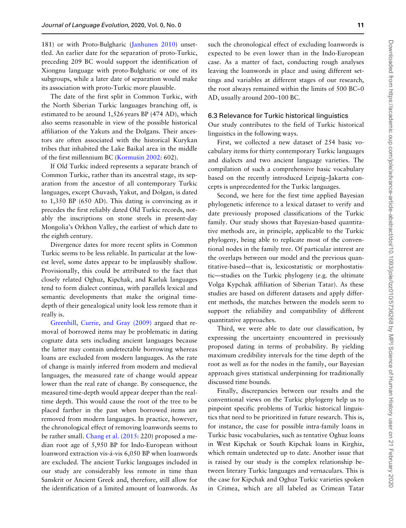181) or with Proto-Bulgharic ([Janhunen 2010](#page-14-0)) unsettled. An earlier date for the separation of proto-Turkic, preceding 209 BC would support the identification of Xiongnu language with proto-Bulgharic or one of its subgroups, while a later date of separation would make its association with proto-Turkic more plausible.

The date of the first split in Common Turkic, with the North Siberian Turkic languages branching off, is estimated to be around 1,526 years BP (474 AD), which also seems reasonable in view of the possible historical affiliation of the Yakuts and the Dolgans. Their ancestors are often associated with the historical Kurykan tribes that inhabited the Lake Baikal area in the middle of the first millennium BC [\(Kormu](#page-14-0)š[in 2002:](#page-14-0) 602).

If Old Turkic indeed represents a separate branch of Common Turkic, rather than its ancestral stage, its separation from the ancestor of all contemporary Turkic languages, except Chuvash, Yakut, and Dolgan, is dated to 1,350 BP (650 AD). This dating is convincing as it precedes the first reliably dated Old Turkic records, notably the inscriptions on stone steels in present-day Mongolia's Orkhon Valley, the earliest of which date to the eighth century.

Divergence dates for more recent splits in Common Turkic seems to be less reliable. In particular at the lowest level, some dates appear to be implausibly shallow. Provisionally, this could be attributed to the fact that closely related Oghuz, Kipchak, and Karluk languages tend to form dialect continua, with parallels lexical and semantic developments that make the original timedepth of their genealogical unity look less remote than it really is.

[Greenhill, Currie, and Gray \(2009\)](#page-13-0) argued that removal of borrowed items may be problematic in dating cognate data sets including ancient languages because the latter may contain undetectable borrowing whereas loans are excluded from modern languages. As the rate of change is mainly inferred from modern and medieval languages, the measured rate of change would appear lower than the real rate of change. By consequence, the measured time-depth would appear deeper than the realtime depth. This would cause the root of the tree to be placed farther in the past when borrowed items are removed from modern languages. In practice, however, the chronological effect of removing loanwords seems to be rather small. [Chang et al. \(2015](#page-13-0): 220) proposed a median root age of 5,950 BP for Indo-European without loanword extraction vis-a`-vis 6,050 BP when loanwords are excluded. The ancient Turkic languages included in our study are considerably less remote in time than Sanskrit or Ancient Greek and, therefore, still allow for the identification of a limited amount of loanwords. As

such the chronological effect of excluding loanwords is expected to be even lower than in the Indo-European case. As a matter of fact, conducting rough analyses leaving the loanwords in place and using different settings and variables at different stages of our research, the root always remained within the limits of 500 BC–0 AD, usually around 200–100 BC.

#### 6.3 Relevance for Turkic historical linguistics

Our study contributes to the field of Turkic historical linguistics in the following ways.

First, we collected a new dataset of 254 basic vocabulary items for thirty contemporary Turkic languages and dialects and two ancient language varieties. The compilation of such a comprehensive basic vocabulary based on the recently introduced Leipzig–Jakarta concepts is unprecedented for the Turkic languages.

Second, we here for the first time applied Bayesian phylogenetic inference to a lexical dataset to verify and date previously proposed classifications of the Turkic family. Our study shows that Bayesian-based quantitative methods are, in principle, applicable to the Turkic phylogeny, being able to replicate most of the conventional nodes in the family tree. Of particular interest are the overlaps between our model and the previous quantitative-based—that is, lexicostatistic or morphostatistic—studies on the Turkic phylogeny (e.g. the ultimate Volga Kypchak affiliation of Siberian Tatar). As these studies are based on different datasets and apply different methods, the matches between the models seem to support the reliability and compatibility of different quantitative approaches.

Third, we were able to date our classification, by expressing the uncertainty encountered in previously proposed dating in terms of probability. By yielding maximum credibility intervals for the time depth of the root as well as for the nodes in the family, our Bayesian approach gives statistical underpinning for traditionally discussed time bounds.

Finally, discrepancies between our results and the conventional views on the Turkic phylogeny help us to pinpoint specific problems of Turkic historical linguistics that need to be prioritized in future research. This is, for instance, the case for possible intra-family loans in Turkic basic vocabularies, such as tentative Oghuz loans in West Kipchak or South Kipchak loans in Kirghiz, which remain undetected up to date. Another issue that is raised by our study is the complex relationship between literary Turkic languages and vernaculars. This is the case for Kipchak and Oghuz Turkic varieties spoken in Crimea, which are all labeled as Crimean Tatar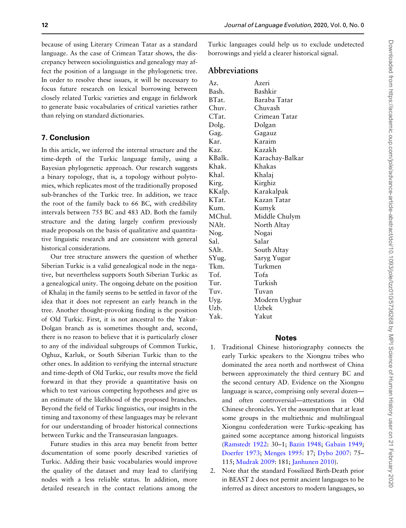because of using Literary Crimean Tatar as a standard language. As the case of Crimean Tatar shows, the discrepancy between sociolinguistics and genealogy may affect the position of a language in the phylogenetic tree. In order to resolve these issues, it will be necessary to focus future research on lexical borrowing between closely related Turkic varieties and engage in fieldwork to generate basic vocabularies of critical varieties rather than relying on standard dictionaries.

# 7. Conclusion

In this article, we inferred the internal structure and the time-depth of the Turkic language family, using a Bayesian phylogenetic approach. Our research suggests a binary topology, that is, a topology without polytomies, which replicates most of the traditionally proposed sub-branches of the Turkic tree. In addition, we trace the root of the family back to 66 BC, with credibility intervals between 755 BC and 483 AD. Both the family structure and the dating largely confirm previously made proposals on the basis of qualitative and quantitative linguistic research and are consistent with general historical considerations.

Our tree structure answers the question of whether Siberian Turkic is a valid genealogical node in the negative, but nevertheless supports South Siberian Turkic as a genealogical unity. The ongoing debate on the position of Khalaj in the family seems to be settled in favor of the idea that it does not represent an early branch in the tree. Another thought-provoking finding is the position of Old Turkic. First, it is not ancestral to the Yakut-Dolgan branch as is sometimes thought and, second, there is no reason to believe that it is particularly closer to any of the individual subgroups of Common Turkic, Oghuz, Karluk, or South Siberian Turkic than to the other ones. In addition to verifying the internal structure and time-depth of Old Turkic, our results move the field forward in that they provide a quantitative basis on which to test various competing hypotheses and give us an estimate of the likelihood of the proposed branches. Beyond the field of Turkic linguistics, our insights in the timing and taxonomy of these languages may be relevant for our understanding of broader historical connections between Turkic and the Transeurasian languages.

Future studies in this area may benefit from better documentation of some poorly described varieties of Turkic. Adding their basic vocabularies would improve the quality of the dataset and may lead to clarifying nodes with a less reliable status. In addition, more detailed research in the contact relations among the

Turkic languages could help us to exclude undetected borrowings and yield a clearer historical signal.

## Abbreviations

| Az.    | Azeri           |
|--------|-----------------|
| Bash.  | Bashkir         |
| BTat.  | Baraba Tatar    |
| Chuv.  | Chuvash         |
| CTat.  | Crimean Tatar   |
| Dolg.  | Dolgan          |
| Gag.   | Gagauz          |
| Kar.   | Karaim          |
| Kaz.   | Kazakh          |
| KBalk. | Karachay-Balkar |
| Khak.  | Khakas          |
| Khal.  | Khalaj          |
| Kirg.  | Kirghiz         |
| KKalp. | Karakalpak      |
| KTat.  | Kazan Tatar     |
| Kum.   | Kumyk           |
| MChul. | Middle Chulym   |
| NAlt.  | North Altay     |
| Nog.   | Nogai           |
| Sal.   | Salar           |
| SAlt.  | South Altay     |
| SYug.  | Saryg Yugur     |
| Tkm.   | Turkmen         |
| Tof.   | Tofa            |
| Tur.   | Turkish         |
| Tuv.   | Tuvan           |
| Uyg.   | Modern Uyghur   |
| Uzb.   | Uzbek           |
| Yak.   | Yakut           |

#### Notes

- 1. Traditional Chinese historiography connects the early Turkic speakers to the Xiongnu tribes who dominated the area north and northwest of China between approximately the third century BC and the second century AD. Evidence on the Xiongnu language is scarce, comprising only several dozen and often controversial—attestations in Old Chinese chronicles. Yet the assumption that at least some groups in the multiethnic and multilingual Xiongnu confederation were Turkic-speaking has gained some acceptance among historical linguists ([Ramstedt 1922:](#page-14-0) 30–1; [Bazin 1948](#page-13-0); [Gabain 1949](#page-13-0); [Doerfer 1973](#page-13-0); [Menges 1995:](#page-14-0) 17; [Dybo 2007](#page-13-0): 75– 115; [Mudrak 2009:](#page-14-0) 181; [Janhunen 2010](#page-14-0)).
- 2. Note that the standard Fossilized Birth-Death prior in BEAST 2 does not permit ancient languages to be inferred as direct ancestors to modern languages, so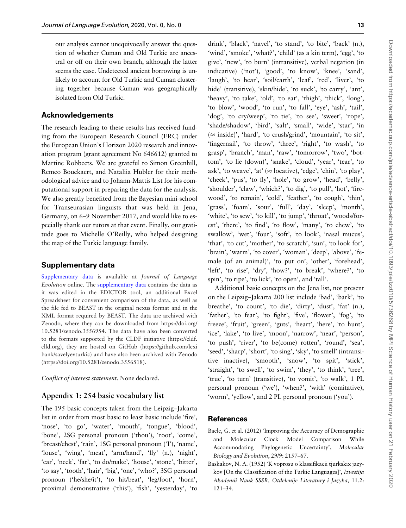<span id="page-12-0"></span>our analysis cannot unequivocally answer the question of whether Cuman and Old Turkic are ancestral or off on their own branch, although the latter seems the case. Undetected ancient borrowing is unlikely to account for Old Turkic and Cuman clustering together because Cuman was geographically isolated from Old Turkic.

#### Acknowledgements

The research leading to these results has received funding from the European Research Council (ERC) under the European Union's Horizon 2020 research and innovation program (grant agreement No 646612) granted to Martine Robbeets. We are grateful to Simon Greenhill, Remco Bouckaert, and Nataliia Hübler for their methodological advice and to Johann-Mattis List for his computational support in preparing the data for the analysis. We also greatly benefited from the Bayesian mini-school for Transeurasian linguists that was held in Jena, Germany, on 6–9 November 2017, and would like to especially thank our tutors at that event. Finally, our gratitude goes to Michelle O'Reilly, who helped designing the map of the Turkic language family.

#### Supplementary data

[Supplementary data](https://academic.oup.com/jole/article-lookup/doi/10.1093/jole/lzz010#supplementary-data) is available at Journal of Language Evolution online. The [supplementary data](https://academic.oup.com/jole/article-lookup/doi/10.1093/jole/lzz010#supplementary-data) contains the data as it was edited in the EDICTOR tool, an additional Excel Spreadsheet for convenient comparison of the data, as well as the file fed to BEAST in the original nexus format and in the XML format required by BEAST. The data are archived with Zenodo, where they can be downloaded from [https://doi.org/](https://doi.org/10.5281/zenodo.3556954) [10.5281/zenodo.3556954](https://doi.org/10.5281/zenodo.3556954). The data have also been converted to the formats supported by the CLDF initiative ([https://cldf.](https://cldf.clld.org) [clld.org](https://cldf.clld.org)), they are hosted on GitHub ([https://github.com/lexi](https://github.com/lexibank/savelyevturkic) [bank/savelyevturkic\)](https://github.com/lexibank/savelyevturkic) and have also been archived with Zenodo (https://doi.org/10.5281/zenodo.3556518).

Conflict of interest statement. None declared.

#### Appendix 1: 254 basic vocabulary list

The 195 basic concepts taken from the Leipzig–Jakarta list in order from most basic to least basic include 'fire', 'nose', 'to go', 'water', 'mouth', 'tongue', 'blood', 'bone', 2SG personal pronoun ('thou'), 'root', 'come', 'breast/chest', 'rain', 1SG personal pronoun ('I'), 'name', 'louse', 'wing', 'meat', 'arm/hand', 'fly' (n.), 'night', 'ear', 'neck', 'far', 'to do/make', 'house', 'stone', 'bitter', 'to say', 'tooth', 'hair', 'big', 'one', 'who?', 3SG personal pronoun ('he/she/it'), 'to hit/beat', 'leg/foot', 'horn', proximal demonstrative ('this'), 'fish', 'yesterday', 'to

drink', 'black', 'navel', 'to stand', 'to bite', 'back' (n.), 'wind', 'smoke', 'what?', 'child' (as a kin term), 'egg', 'to give', 'new', 'to burn' (intransitive), verbal negation (in indicative) ('not'), 'good', 'to know', 'knee', 'sand', 'laugh', 'to hear', 'soil/earth', 'leaf', 'red', 'liver', 'to hide' (transitive), 'skin/hide', 'to suck', 'to carry', 'ant', 'heavy', 'to take', 'old', 'to eat', 'thigh', 'thick', 'long', 'to blow', 'wood', 'to run', 'to fall', 'eye', 'ash', 'tail', 'dog', 'to cry/weep', 'to tie', 'to see', 'sweet', 'rope', 'shade/shadow', 'bird', 'salt', 'small', 'wide', 'star', 'in  $(\approx$  inside)', 'hard', 'to crush/grind', 'mountain', 'to sit', 'fingernail', 'to throw', 'three', 'right', 'to wash', 'to grasp', 'branch', 'man', 'raw', 'tomorrow', 'two', 'bottom', 'to lie (down)', 'snake', 'cloud', 'year', 'tear', 'to ask', 'to weave', 'at' ( $\approx$  locative), 'edge', 'chin', 'to play', 'cheek', 'pus', 'to fly', 'hole', 'to grow', 'head', 'belly', 'shoulder', 'claw', 'which?', 'to dig', 'to pull', 'hot', 'firewood', 'to remain', 'cold', 'feather', 'to cough', 'thin', 'grass', 'foam', 'sour', 'full', 'day', 'sleep', 'month', 'white', 'to sew', 'to kill', 'to jump', 'throat', 'woods/forest', 'there', 'to find', 'to flow', 'many', 'to chew', 'to swallow', 'wet', 'four', 'soft', 'to look', 'nasal mucus', 'that', 'to cut', 'mother', 'to scratch', 'sun', 'to look for', 'brain', 'warm', 'to cover', 'woman', 'deep', 'above', 'female (of an animal)', 'to put on', 'other', 'forehead', 'left', 'to rise', 'dry', 'how?', 'to break', 'where?', 'to spin', 'to ripe', 'to lick', 'to open', and 'tall'.

Additional basic concepts on the Jena list, not present on the Leipzig–Jakarta 200 list include 'bad', 'bark', 'to breathe', 'to count', 'to die', 'dirty', 'dust', 'fat' (n.), 'father', 'to fear', 'to fight', 'five', 'flower', 'fog', 'to freeze', 'fruit', 'green', 'guts', 'heart', 'here', 'to hunt', 'ice', 'lake', 'to live', 'moon', 'narrow', 'near', 'person', 'to push', 'river', 'to be(come) rotten', 'round', 'sea', 'seed', 'sharp', 'short', 'to sing', 'sky', 'to smell' (intransitive inactive), 'smooth', 'snow', 'to spit', 'stick', 'straight', 'to swell', 'to swim', 'they', 'to think', 'tree', 'true', 'to turn' (transitive), 'to vomit', 'to walk', 1 PL personal pronoun ('we'), 'when?', 'with' (comitative), 'worm', 'yellow', and 2 PL personal pronoun ('you').

### References

- Baele, G. et al. (2012) 'Improving the Accuracy of Demographic and Molecular Clock Model Comparison While Accommodating Phylogenetic Uncertainty', Molecular Biology and Evolution, 29/9: 2157–67.
- Baskakov, N. A. (1952) 'K voprosu o klassifikacii tjurkskix jazykov [On the Classification of the Turkic Languages]', Izvestija Akademii Nauk SSSR, Otdelenije Literatury i Jazyka, 11.2: 121–34.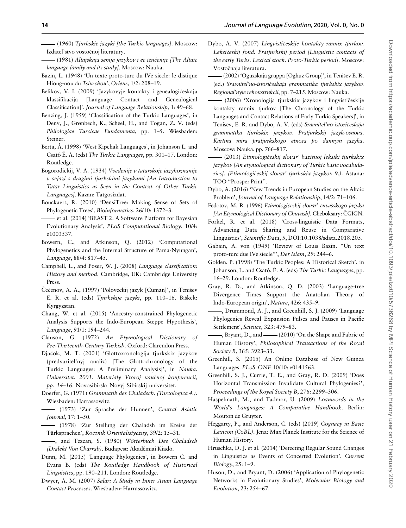- <span id="page-13-0"></span>(1960) Tjurkskie jazyki [the Turkic languages]. Moscow: Izdateľ stvo vostočnoj literatury.
- (1981) Altajskaja semja jazykov i ee izučenije [The Altaic language family and its study]. Moscow: Nauka.
- Bazin, L. (1948) 'Un texte proto-turc du IVe siecle: le distique Hiong-nou du Tsin-chou', Oriens, 1/2: 208–19.
- Belikov, V. I. (2009) 'Jazykovyje kontakty i genealogičeskaja klassifikacija [Language Contact and Genealogical Classification]', Journal of Language Relationship, 1: 49–68.
- Benzing, J. (1959) 'Classification of the Turkic Languages', in Deny, J., Grønbech, K., Scheel, H., and Togan, Z. V. (eds) Philologiae Turcicae Fundamenta, pp. 1–5. Wiesbaden: Steiner.
- Berta, Á. (1998) 'West Kipchak Languages', in Johanson L. and Csató É. A. (eds) The Turkic Languages, pp. 301–17. London: Routledge.
- Bogorodickij, V. A. (1934) Vvedenije v tatarskoje jazykoznanije v svjazi s drugimi tjurkskimi jazykami [An Introduction to Tatar Linguistics as Seen in the Context of Other Turkic Languages]. Kazan: Tatgosizdat.
- Bouckaert, R. (2010) 'DensiTree: Making Sense of Sets of Phylogenetic Trees', Bioinformatics, 26/10: 1372–3.
- et al. (2014) 'BEAST 2: A Software Platform for Bayesian Evolutionary Analysis', PLoS Computational Biology, 10/4: e1003537.
- Bowern, C., and Atkinson, Q. (2012) 'Computational Phylogenetics and the Internal Structure of Pama-Nyungan', Language, 88/4: 817–45.
- Campbell, L., and Poser, W. J. (2008) Language classification: History and method. Cambridge, UK: Cambridge University Press.
- Čečenov, A. A., (1997) 'Poloveckij jazyk [Cuman]', in Tenišev E. R. et al. (eds) *Tjurkskije jazyki*, pp. 110–16. Biškek: Kyrgyzstan.
- Chang, W. et al. (2015) 'Ancestry-constrained Phylogenetic Analysis Supports the Indo-European Steppe Hypothesis', Language, 91/1: 194–244.
- Clauson, G. (1972) An Etymological Dictionary of Pre-Thirteenth-Century Turkish. Oxford: Clarendon Press.
- Djačok, M. T. (2001) 'Glottoxronologija tjurkskix jazykov (predvaritel'nyj analiz) [The Glottochronology of the Turkic Languages: A Preliminary Analysis]', in Nauka. Universitet. 2001. Materialy Vtoroj naučnoj konferencii, pp. 14–16. Novosibirsk: Novyj Sibirskij universitet.
- Doerfer, G. (1971) Grammatik des Chaladsch. (Turcologica 4.). Wiesbaden: Harrassowitz.
- (1973) 'Zur Sprache der Hunnen', Central Asiatic Journal, 17: 1–50.
- (1978) 'Zur Stellung der Chaladsh im Kreise der Türksprachen', Rocznik Orientalistyczny, 39/2: 15-31.
- -, and Tezcan, S. (1980) Wörterbuch Des Chaladsch (Dialekt Von Charrab). Budapest: Akadémiai Kiadó.
- Dunn, M. (2015) 'Language Phylogenies', in Bowern C. and Evans B. (eds) The Routledge Handbook of Historical Linguistics, pp. 190–211. London: Routledge.
- Dwyer, A. M. (2007) Salar: A Study in Inner Asian Language Contact Processes. Wiesbaden: Harrassowitz.
- Dybo, A. V. (2007) *Lingvističeskije kontakty rannix tjurkov*. Leksiceskij fond. Pratjurkskij period [Linguistic contacts of the early Turks. Lexical stock. Proto-Turkic period]. Moscow: Vostočnaja literatura.
- (2002) 'Oguzskaja gruppa [Oghuz Group]', in Tenišev E. R. (ed.) *Sravniteľno-istoričeskaja grammatika tjurkskix jazykov*. Regional'nyje rekonstrukcii, pp. 7–215. Moscow: Nauka.
- (2006) 'Xronologija tjurkskix jazykov i lingvističeskije kontakty rannix tjurkov [The Chronology of the Turkic Languages and Contact Relations of Early Turkic Speakers]', in Tenišev, E. R. and Dybo, A. V. (eds) *Sravnitel'no-istoričeskaja* grammatika tjurkskix jazykov. Pratjurkskij jazyk-osnova. Kartina mira pratjurkskogo etnosa po dannym jazyka. Moscow: Nauka, pp. 766–817.
- (2013) Etimologiceskij slovar' bazisnoj leksiki tjurkskix jazykov [An etymological dictionary of Turkic basic vocabularies]. (Etimologičeskij slovar' tjurkskix jazykov 9.). Astana: TOO "Prosper Print".
- Dybo, A. (2016) 'New Trends in European Studies on the Altaic Problem', Journal of Language Relationship, 14/2: 71–106.
- Fedotov, M. R. (1996) *Etimologičeskij slovar' čuvašskogo jazyka* [An Etymological Dictionary of Chuvash]. Cheboksary: ČGIGN.
- Forkel, R. et al. (2018) 'Cross-linguistic Data Formats, Advancing Data Sharing and Reuse in Comparative Linguistics', Scientific Data, 5, DOI:10.1038/sdata.2018.205.
- Gabain, A. von (1949) 'Review of Louis Bazin. "Un text proto-turc due IVe siecle"', Der Islam, 29: 244–6.
- Golden, P. (1998) 'The Turkic Peoples: A Historical Sketch', in Johanson, L. and Csató, É. A. (eds) The Turkic Languages, pp. 16–29. London: Routledge.
- Gray, R. D., and Atkinson, Q. D. (2003) 'Language-tree Divergence Times Support the Anatolian Theory of Indo-European origin', Nature, 426: 435–9.
- , Drummond, A. J., and Greenhill, S. J. (2009) 'Language Phylogenies Reveal Expansion Pulses and Pauses in Pacific Settlement', Science, 323: 479–83.
- -, Bryant, D., and —— (2010) 'On the Shape and Fabric of Human History', Philosophical Transactions of the Royal Society B, 365: 3923–33.
- Greenhill, S. (2015) An Online Database of New Guinea Languages. PLoS ONE 10/10: e0141563.
- Greenhill, S. J., Currie, T. E., and Gray, R. D. (2009) 'Does Horizontal Transmission Invalidate Cultural Phylogenies?', Proceedings of the Royal Society B, 276: 2299–306.
- Haspelmath, M., and Tadmor, U. (2009) Loanwords in the World's Languages: A Comparative Handbook. Berlin: Mouton de Gruyter.
- Heggarty, P., and Anderson, C. (eds) (2019) Cognacy in Basic Lexicon (CoBL). Jena: Max Planck Institute for the Science of Human History.
- Hruschka, D. J. et al. (2014) 'Detecting Regular Sound Changes in Linguistics as Events of Concerted Evolution', Current Biology, 25: 1–9.
- Huson, D., and Bryant, D. (2006) 'Application of Phylogenetic Networks in Evolutionary Studies', Molecular Biology and Evolution, 23: 254–67.